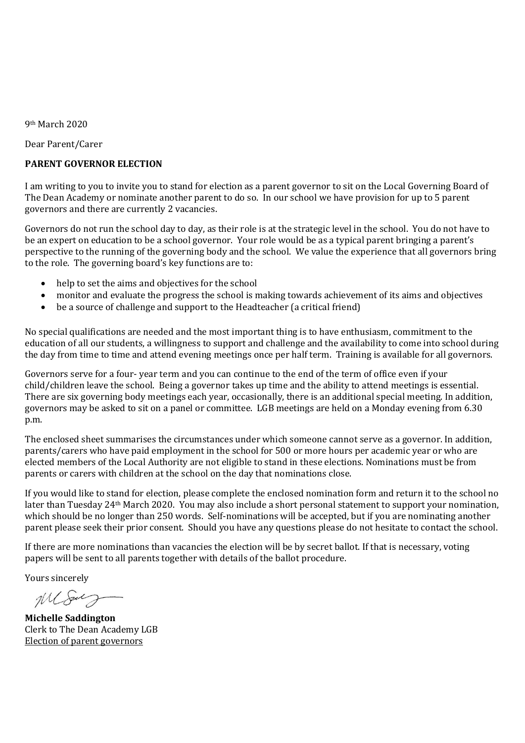9th March 2020

Dear Parent/Carer

## **PARENT GOVERNOR ELECTION**

I am writing to you to invite you to stand for election as a parent governor to sit on the Local Governing Board of The Dean Academy or nominate another parent to do so. In our school we have provision for up to 5 parent governors and there are currently 2 vacancies.

Governors do not run the school day to day, as their role is at the strategic level in the school. You do not have to be an expert on education to be a school governor. Your role would be as a typical parent bringing a parent's perspective to the running of the governing body and the school. We value the experience that all governors bring to the role. The governing board's key functions are to:

- help to set the aims and objectives for the school
- monitor and evaluate the progress the school is making towards achievement of its aims and objectives
- be a source of challenge and support to the Headteacher (a critical friend)

No special qualifications are needed and the most important thing is to have enthusiasm, commitment to the education of all our students, a willingness to support and challenge and the availability to come into school during the day from time to time and attend evening meetings once per half term. Training is available for all governors.

Governors serve for a four- year term and you can continue to the end of the term of office even if your child/children leave the school. Being a governor takes up time and the ability to attend meetings is essential. There are six governing body meetings each year, occasionally, there is an additional special meeting. In addition, governors may be asked to sit on a panel or committee. LGB meetings are held on a Monday evening from 6.30 p.m.

The enclosed sheet summarises the circumstances under which someone cannot serve as a governor. In addition, parents/carers who have paid employment in the school for 500 or more hours per academic year or who are elected members of the Local Authority are not eligible to stand in these elections. Nominations must be from parents or carers with children at the school on the day that nominations close.

If you would like to stand for election, please complete the enclosed nomination form and return it to the school no later than Tuesday 24th March 2020. You may also include a short personal statement to support your nomination, which should be no longer than 250 words. Self-nominations will be accepted, but if you are nominating another parent please seek their prior consent. Should you have any questions please do not hesitate to contact the school.

If there are more nominations than vacancies the election will be by secret ballot. If that is necessary, voting papers will be sent to all parents together with details of the ballot procedure.

Yours sincerely

 $MCS12$ 

**Michelle Saddington** Clerk to The Dean Academy LGB Election of parent governors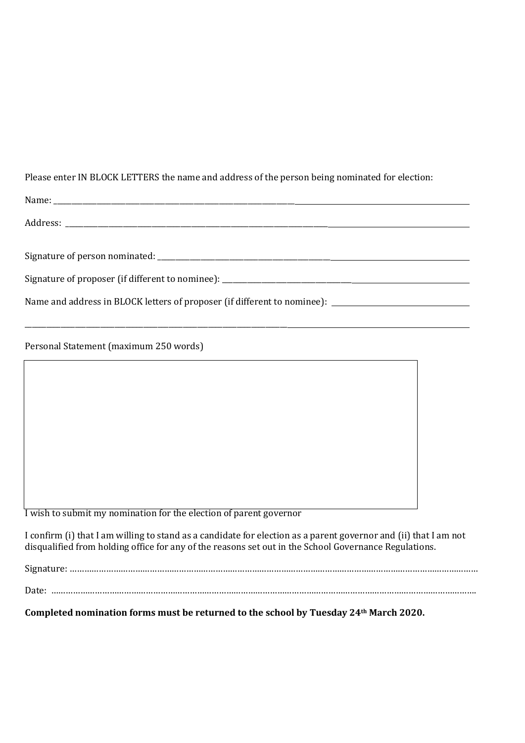Please enter IN BLOCK LETTERS the name and address of the person being nominated for election:

Name: \_\_\_\_\_\_\_\_\_\_\_\_\_\_\_\_\_\_\_\_\_\_\_\_\_\_\_\_\_\_\_\_\_\_\_\_\_\_\_\_\_\_\_\_\_\_\_\_\_\_\_\_\_\_\_\_\_\_\_\_\_\_\_\_\_\_\_ Address: \_\_\_\_\_\_\_\_\_\_\_\_\_\_\_\_\_\_\_\_\_\_\_\_\_\_\_\_\_\_\_\_\_\_\_\_\_\_\_\_\_\_\_\_\_\_\_\_\_\_\_\_\_\_\_\_\_\_\_\_\_\_\_\_\_\_\_\_\_\_\_\_\_ Signature of person nominated:  $\overline{a}$ Signature of proposer (if different to nominee): \_\_\_\_\_\_\_\_\_\_\_\_\_\_\_\_\_\_\_\_\_\_\_\_\_\_\_\_\_\_\_\_\_\_\_\_ Name and address in BLOCK letters of proposer (if different to nominee): \_\_\_\_\_\_\_\_\_\_\_\_\_\_\_\_\_\_\_\_\_\_\_\_\_\_\_

Personal Statement (maximum 250 words)

I wish to submit my nomination for the election of parent governor

\_\_\_\_\_\_\_\_\_\_\_\_\_\_\_\_\_\_\_\_\_\_\_\_\_\_\_\_\_\_\_\_\_\_\_\_\_\_\_\_\_\_\_\_\_\_\_\_\_\_\_\_\_\_\_\_\_\_\_\_\_\_\_\_\_\_\_\_\_\_\_\_\_

I confirm (i) that I am willing to stand as a candidate for election as a parent governor and (ii) that I am not disqualified from holding office for any of the reasons set out in the School Governance Regulations.

Signature: ……………………………………………………………………………………………………………………………………………………

Date: ………………………………………………………………………………………………………………………………………………………….

**Completed nomination forms must be returned to the school by Tuesday 24th March 2020.**